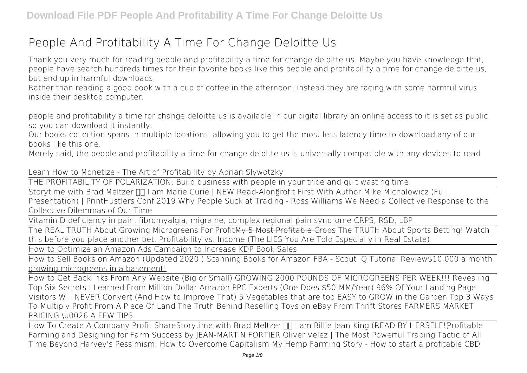# **People And Profitability A Time For Change Deloitte Us**

Thank you very much for reading **people and profitability a time for change deloitte us**. Maybe you have knowledge that, people have search hundreds times for their favorite books like this people and profitability a time for change deloitte us, but end up in harmful downloads.

Rather than reading a good book with a cup of coffee in the afternoon, instead they are facing with some harmful virus inside their desktop computer.

people and profitability a time for change deloitte us is available in our digital library an online access to it is set as public so you can download it instantly.

Our books collection spans in multiple locations, allowing you to get the most less latency time to download any of our books like this one.

Merely said, the people and profitability a time for change deloitte us is universally compatible with any devices to read

*Learn How to Monetize - The Art of Profitability by Adrian Slywotzky*

THE PROFITABILITY OF POLARIZATION: Build business with people in your tribe and quit wasting time.

Storytime with Brad Meltzer **II Lam Marie Curie | NEW Read-Alongrofit First With Author Mike Michalowicz (Full Presentation) | PrintHustlers Conf 2019** *Why People Suck at Trading - Ross Williams We Need a Collective Response to the Collective Dilemmas of Our Time*

Vitamin D deficiency in pain, fibromyalgia, migraine, complex regional pain syndrome CRPS, RSD, LBP

The REAL TRUTH About Growing Microgreens For ProfitMy 5 Most Profitable Crops **The TRUTH About Sports Betting! Watch this before you place another bet.** *Profitability vs. Income (The LIES You Are Told Especially in Real Estate)*

How to Optimize an Amazon Ads Campaign to Increase KDP Book Sales

How to Sell Books on Amazon (Updated 2020 ) Scanning Books for Amazon FBA - Scout IQ Tutorial Review\$10,000 a month growing microgreens in a basement!

How to Get Backlinks From Any Website (Big or Small) GROWING 2000 POUNDS OF MICROGREENS PER WEEK!!! *Revealing Top Six Secrets I Learned From Million Dollar Amazon PPC Experts (One Does \$50 MM/Year) 96% Of Your Landing Page Visitors Will NEVER Convert (And How to Improve That) 5 Vegetables that are too EASY to GROW in the Garden Top 3 Ways To Multiply Profit From A Piece Of Land The Truth Behind Reselling Toys on eBay From Thrift Stores FARMERS MARKET PRICING \u0026 A FEW TIPS*

How To Create A Company Profit ShareStorytime with Brad Meltzer  $\Pi$  I am Billie Jean King (READ BY HERSELF!) Profitable **Farming and Designing for Farm Success by JEAN-MARTIN FORTIER** *Oliver Velez | The Most Powerful Trading Tactic of All Time Beyond Harvey's Pessimism: How to Overcome Capitalism* My Hemp Farming Story - How to start a profitable CBD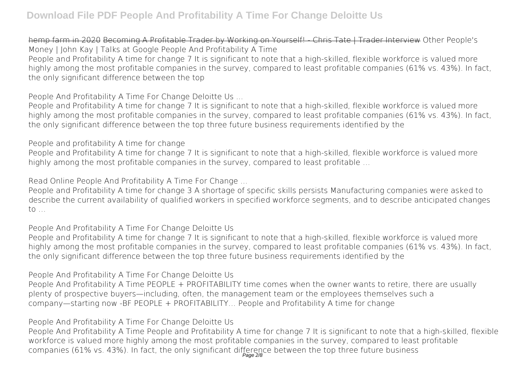hemp farm in 2020 Becoming A Profitable Trader by Working on Yourself! - Chris Tate | Trader Interview *Other People's Money | John Kay | Talks at Google* People And Profitability A Time People and Profitability A time for change 7 It is significant to note that a high-skilled, flexible workforce is valued more highly among the most profitable companies in the survey, compared to least profitable companies (61% vs. 43%). In fact, the only significant difference between the top

People And Profitability A Time For Change Deloitte Us ...

People and Profitability A time for change 7 It is significant to note that a high-skilled, flexible workforce is valued more highly among the most profitable companies in the survey, compared to least profitable companies (61% vs. 43%). In fact, the only significant difference between the top three future business requirements identified by the

People and profitability A time for change

People and Profitability A time for change 7 It is significant to note that a high-skilled, flexible workforce is valued more highly among the most profitable companies in the survey, compared to least profitable …

Read Online People And Profitability A Time For Change ...

People and Profitability A time for change 3 A shortage of specific skills persists Manufacturing companies were asked to describe the current availability of qualified workers in specified workforce segments, and to describe anticipated changes to …

People And Profitability A Time For Change Deloitte Us

People and Profitability A time for change 7 It is significant to note that a high-skilled, flexible workforce is valued more highly among the most profitable companies in the survey, compared to least profitable companies (61% vs. 43%). In fact, the only significant difference between the top three future business requirements identified by the

People And Profitability A Time For Change Deloitte Us

People And Profitability A Time PEOPLE + PROFITABILITY time comes when the owner wants to retire, there are usually plenty of prospective buyers—including, often, the management team or the employees themselves such a company—starting now -BF PEOPLE + PROFITABILITY… People and Profitability A time for change

People And Profitability A Time For Change Deloitte Us

People And Profitability A Time People and Profitability A time for change 7 It is significant to note that a high-skilled, flexible workforce is valued more highly among the most profitable companies in the survey, compared to least profitable companies (61% vs. 43%). In fact, the only significant difference between the top three future business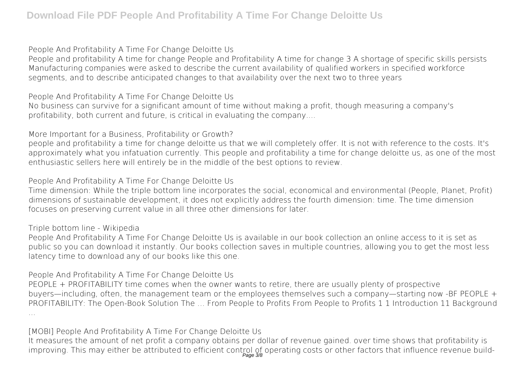People And Profitability A Time For Change Deloitte Us

People and profitability A time for change People and Profitability A time for change 3 A shortage of specific skills persists Manufacturing companies were asked to describe the current availability of qualified workers in specified workforce segments, and to describe anticipated changes to that availability over the next two to three years

People And Profitability A Time For Change Deloitte Us

No business can survive for a significant amount of time without making a profit, though measuring a company's profitability, both current and future, is critical in evaluating the company....

More Important for a Business, Profitability or Growth?

people and profitability a time for change deloitte us that we will completely offer. It is not with reference to the costs. It's approximately what you infatuation currently. This people and profitability a time for change deloitte us, as one of the most enthusiastic sellers here will entirely be in the middle of the best options to review.

People And Profitability A Time For Change Deloitte Us

Time dimension: While the triple bottom line incorporates the social, economical and environmental (People, Planet, Profit) dimensions of sustainable development, it does not explicitly address the fourth dimension: time. The time dimension focuses on preserving current value in all three other dimensions for later.

Triple bottom line - Wikipedia

People And Profitability A Time For Change Deloitte Us is available in our book collection an online access to it is set as public so you can download it instantly. Our books collection saves in multiple countries, allowing you to get the most less latency time to download any of our books like this one.

People And Profitability A Time For Change Deloitte Us

PEOPLE + PROFITABILITY time comes when the owner wants to retire, there are usually plenty of prospective buyers—including, often, the management team or the employees themselves such a company—starting now -BF PEOPLE + PROFITABILITY: The Open-Book Solution The … From People to Profits From People to Profits 1 1 Introduction 11 Background ...

[MOBI] People And Profitability A Time For Change Deloitte Us

It measures the amount of net profit a company obtains per dollar of revenue gained. over time shows that profitability is improving. This may either be attributed to efficient control of operating costs or other factors that influence revenue build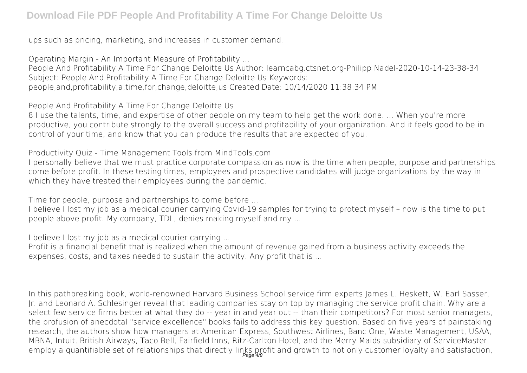ups such as pricing, marketing, and increases in customer demand.

Operating Margin - An Important Measure of Profitability ... People And Profitability A Time For Change Deloitte Us Author: learncabg.ctsnet.org-Philipp Nadel-2020-10-14-23-38-34 Subject: People And Profitability A Time For Change Deloitte Us Keywords: people,and,profitability,a,time,for,change,deloitte,us Created Date: 10/14/2020 11:38:34 PM

People And Profitability A Time For Change Deloitte Us

8 I use the talents, time, and expertise of other people on my team to help get the work done. ... When you're more productive, you contribute strongly to the overall success and profitability of your organization. And it feels good to be in control of your time, and know that you can produce the results that are expected of you.

Productivity Quiz - Time Management Tools from MindTools.com

I personally believe that we must practice corporate compassion as now is the time when people, purpose and partnerships come before profit. In these testing times, employees and prospective candidates will judge organizations by the way in which they have treated their employees during the pandemic.

Time for people, purpose and partnerships to come before ...

I believe I lost my job as a medical courier carrying Covid-19 samples for trying to protect myself – now is the time to put people above profit. My company, TDL, denies making myself and my ...

I believe I lost my job as a medical courier carrying ...

Profit is a financial benefit that is realized when the amount of revenue gained from a business activity exceeds the expenses, costs, and taxes needed to sustain the activity. Any profit that is ...

In this pathbreaking book, world-renowned Harvard Business School service firm experts James L. Heskett, W. Earl Sasser, Jr. and Leonard A. Schlesinger reveal that leading companies stay on top by managing the service profit chain. Why are a select few service firms better at what they do -- year in and year out -- than their competitors? For most senior managers, the profusion of anecdotal "service excellence" books fails to address this key question. Based on five years of painstaking research, the authors show how managers at American Express, Southwest Airlines, Banc One, Waste Management, USAA, MBNA, Intuit, British Airways, Taco Bell, Fairfield Inns, Ritz-Carlton Hotel, and the Merry Maids subsidiary of ServiceMaster employ a quantifiable set of relationships that directly links profit and growth to not only customer loyalty and satisfaction,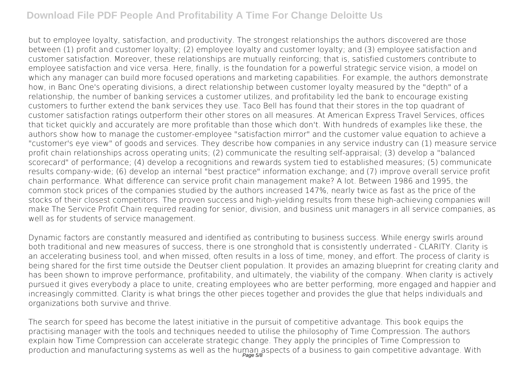but to employee loyalty, satisfaction, and productivity. The strongest relationships the authors discovered are those between (1) profit and customer loyalty; (2) employee loyalty and customer loyalty; and (3) employee satisfaction and customer satisfaction. Moreover, these relationships are mutually reinforcing; that is, satisfied customers contribute to employee satisfaction and vice versa. Here, finally, is the foundation for a powerful strategic service vision, a model on which any manager can build more focused operations and marketing capabilities. For example, the authors demonstrate how, in Banc One's operating divisions, a direct relationship between customer loyalty measured by the "depth" of a relationship, the number of banking services a customer utilizes, and profitability led the bank to encourage existing customers to further extend the bank services they use. Taco Bell has found that their stores in the top quadrant of customer satisfaction ratings outperform their other stores on all measures. At American Express Travel Services, offices that ticket quickly and accurately are more profitable than those which don't. With hundreds of examples like these, the authors show how to manage the customer-employee "satisfaction mirror" and the customer value equation to achieve a "customer's eye view" of goods and services. They describe how companies in any service industry can (1) measure service profit chain relationships across operating units; (2) communicate the resulting self-appraisal; (3) develop a "balanced scorecard" of performance; (4) develop a recognitions and rewards system tied to established measures; (5) communicate results company-wide; (6) develop an internal "best practice" information exchange; and (7) improve overall service profit chain performance. What difference can service profit chain management make? A lot. Between 1986 and 1995, the common stock prices of the companies studied by the authors increased 147%, nearly twice as fast as the price of the stocks of their closest competitors. The proven success and high-yielding results from these high-achieving companies will make The Service Profit Chain required reading for senior, division, and business unit managers in all service companies, as well as for students of service management.

Dynamic factors are constantly measured and identified as contributing to business success. While energy swirls around both traditional and new measures of success, there is one stronghold that is consistently underrated - CLARITY. Clarity is an accelerating business tool, and when missed, often results in a loss of time, money, and effort. The process of clarity is being shared for the first time outside the Deutser client population. It provides an amazing blueprint for creating clarity and has been shown to improve performance, profitability, and ultimately, the viability of the company. When clarity is actively pursued it gives everybody a place to unite, creating employees who are better performing, more engaged and happier and increasingly committed. Clarity is what brings the other pieces together and provides the glue that helps individuals and organizations both survive and thrive.

The search for speed has become the latest initiative in the pursuit of competitive advantage. This book equips the practising manager with the tools and techniques needed to utilise the philosophy of Time Compression. The authors explain how Time Compression can accelerate strategic change. They apply the principles of Time Compression to production and manufacturing systems as well as the human aspects of a business to gain competitive advantage. With<br>Page 5/8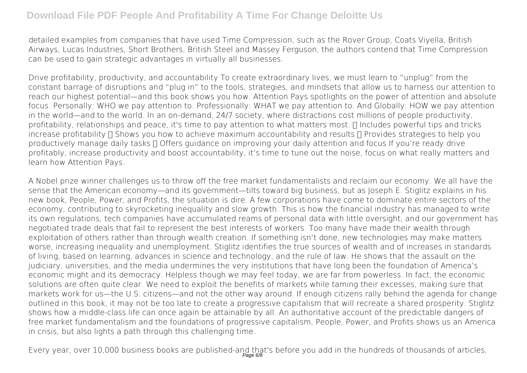detailed examples from companies that have used Time Compression, such as the Rover Group, Coats Viyella, British Airways, Lucas Industries, Short Brothers, British Steel and Massey Ferguson, the authors contend that Time Compression can be used to gain strategic advantages in virtually all businesses.

Drive profitability, productivity, and accountability To create extraordinary lives, we must learn to "unplug" from the constant barrage of disruptions and "plug in" to the tools, strategies, and mindsets that allow us to harness our attention to reach our highest potential—and this book shows you how. Attention Pays spotlights on the power of attention and absolute focus. Personally: WHO we pay attention to. Professionally: WHAT we pay attention to. And Globally: HOW we pay attention in the world—and to the world. In an on-demand, 24/7 society, where distractions cost millions of people productivity, profitability, relationships and peace, it's time to pay attention to what matters most.  $\Pi$  Includes powerful tips and tricks increase profitability  $\Pi$  Shows you how to achieve maximum accountability and results  $\Pi$  Provides strategies to help you productively manage daily tasks  $\Box$  Offers guidance on improving your daily attention and focus If you're ready drive profitably, increase productivity and boost accountability, it's time to tune out the noise, focus on what really matters and learn how Attention Pays.

A Nobel prize winner challenges us to throw off the free market fundamentalists and reclaim our economy. We all have the sense that the American economy—and its government—tilts toward big business, but as Joseph E. Stiglitz explains in his new book, People, Power, and Profits, the situation is dire. A few corporations have come to dominate entire sectors of the economy, contributing to skyrocketing inequality and slow growth. This is how the financial industry has managed to write its own regulations, tech companies have accumulated reams of personal data with little oversight, and our government has negotiated trade deals that fail to represent the best interests of workers. Too many have made their wealth through exploitation of others rather than through wealth creation. If something isn't done, new technologies may make matters worse, increasing inequality and unemployment. Stiglitz identifies the true sources of wealth and of increases in standards of living, based on learning, advances in science and technology, and the rule of law. He shows that the assault on the judiciary, universities, and the media undermines the very institutions that have long been the foundation of America's economic might and its democracy. Helpless though we may feel today, we are far from powerless. In fact, the economic solutions are often quite clear. We need to exploit the benefits of markets while taming their excesses, making sure that markets work for us—the U.S. citizens—and not the other way around. If enough citizens rally behind the agenda for change outlined in this book, it may not be too late to create a progressive capitalism that will recreate a shared prosperity. Stiglitz shows how a middle-class life can once again be attainable by all. An authoritative account of the predictable dangers of free market fundamentalism and the foundations of progressive capitalism, People, Power, and Profits shows us an America in crisis, but also lights a path through this challenging time.

Every year, over 10,000 business books are published-and that's before you add in the hundreds of thousands of articles,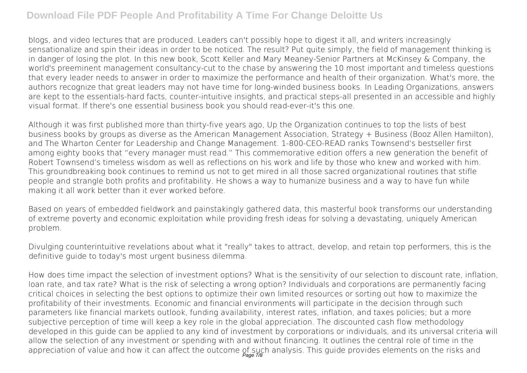blogs, and video lectures that are produced. Leaders can't possibly hope to digest it all, and writers increasingly sensationalize and spin their ideas in order to be noticed. The result? Put quite simply, the field of management thinking is in danger of losing the plot. In this new book, Scott Keller and Mary Meaney-Senior Partners at McKinsey & Company, the world's preeminent management consultancy-cut to the chase by answering the 10 most important and timeless questions that every leader needs to answer in order to maximize the performance and health of their organization. What's more, the authors recognize that great leaders may not have time for long-winded business books. In Leading Organizations, answers are kept to the essentials-hard facts, counter-intuitive insights, and practical steps-all presented in an accessible and highly visual format. If there's one essential business book you should read-ever-it's this one.

Although it was first published more than thirty-five years ago, Up the Organization continues to top the lists of best business books by groups as diverse as the American Management Association, Strategy + Business (Booz Allen Hamilton), and The Wharton Center for Leadership and Change Management. 1-800-CEO-READ ranks Townsend's bestseller first among eighty books that "every manager must read." This commemorative edition offers a new generation the benefit of Robert Townsend's timeless wisdom as well as reflections on his work and life by those who knew and worked with him. This groundbreaking book continues to remind us not to get mired in all those sacred organizational routines that stifle people and strangle both profits and profitability. He shows a way to humanize business and a way to have fun while making it all work better than it ever worked before.

Based on years of embedded fieldwork and painstakingly gathered data, this masterful book transforms our understanding of extreme poverty and economic exploitation while providing fresh ideas for solving a devastating, uniquely American problem.

Divulging counterintuitive revelations about what it "really" takes to attract, develop, and retain top performers, this is the definitive guide to today's most urgent business dilemma.

How does time impact the selection of investment options? What is the sensitivity of our selection to discount rate, inflation, loan rate, and tax rate? What is the risk of selecting a wrong option? Individuals and corporations are permanently facing critical choices in selecting the best options to optimize their own limited resources or sorting out how to maximize the profitability of their investments. Economic and financial environments will participate in the decision through such parameters like financial markets outlook, funding availability, interest rates, inflation, and taxes policies; but a more subjective perception of time will keep a key role in the global appreciation. The discounted cash flow methodology developed in this guide can be applied to any kind of investment by corporations or individuals, and its universal criteria will allow the selection of any investment or spending with and without financing. It outlines the central role of time in the appreciation of value and how it can affect the outcome of such analysis. This guide provides elements on the risks and<br>Page 78